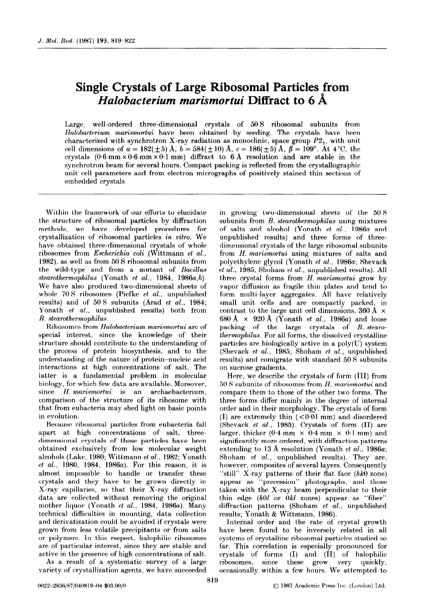## Single Crystals of Large Ribosomal Particles from Halobacterium marismortui Diffract to  $6\,\text{\AA}$

Large, well-ordered three-dimensional crystals of 50 S ribosomal subunits from Halobacterium marismortui have been obtained by seeding. The crystals have been characterized with synchrotron X-ray radiation as monoclinic, space group P2,, with unit cell dimensions of  $a = 182(\pm 5)$  Å,  $b = 584(\pm 10)$  Å,  $c = 186(\pm 5)$  Å,  $\beta = 109^{\circ}$ . At  $4^{\circ}$ C, the crystals  $(0.6 \text{ mm} \times 0.6 \text{ mm} \times 0.1 \text{ mm})$  diffract to 6 Å resolution and are stable in the synchrotron beam for several hours. Compact packing is reflected from the crystallographic unit cell parameters and from electron micrographs of positively stained thin sections of embedded crystals

Within the framework of our efforts to elucidate the structure of ribosomal particles by diffraction methods, we have developed procedures for crystallization of ribosomal particles in vitro. We have obtained three-dimensional crystals of whole ribosomes from Escherichia coli (Wittmann et al., 1982), as well as from 50 S ribosomal subunits from the wild-type and from a mutant of Bacillus stearothermophilus (Yonath et al., 1984, 1986a,b). We have also produced two-dimensional sheets of whole 70 S ribosomes (Piefke *et al.*, unpublished results) and of 50 S subunits (Arad et al., 1984; Yonath et al., unpublished results) both from  $B.$  stearothermophilus.

Ribosomes from Halobacterium marismortui are of special interest. since the knowledge of their structure should contribute to the understanding of the process of protein biosynthesis, and to the understanding of the nature of protein-nucleic acid interactions at high concentrations of salt. The latter is a fundamental problem in molecular biology, for which few data are available. Moreover, since H. marismortui is an archaebacterium, comparison of the structure of its ribosome with that from eubacteria may shed light on basic points in evolution.

Because ribosomal particles from eubacteria fall apart at high concentrations of salt, threedimensional crystals of these particles have been obtained exclusively from low molecular weight alcohols (Lake, 1980; Wittmann et al., 1982; Yonath et al., 1980, 1984, 1986a). For this reason, it is almost impossible to handle or transfer these crystals and they have to be grown directly in X-ray capillaries, so that their X-ray diffraction data are collected without removing the original mother liquor (Yonath et al., 1984, 1986a). Many technical difficulties in mounting, data collection and derivatization could be avoided if crystals were grown from less volatile precipitants or from salts or polymers. Tn this respect, halophilic ribosomes are of particular interest, since they are stable and active in the presence of high concentrations of salt.

As a result. of a systematic survey of a large variety of crystallization agents, we have succeeded

in growing two-dimensional sheets of the 50 S subunits from *B. stearothermophilus* using mixtures of salts and alcohol (Yonath et al., 1986a and unpublished results) and three forms of threedimensional crystals of the large ribosomal subunits from H. marismortui using mixtures of salts and polyethylene glycol (Yonath et al., 1986a; Shevack et al., 1985; Shoham et al., unpublished results). All three crystal forms from H. marismortui grow by vapor diffusion as fragile thin plates and tend to form multi-layer aggregates. All have relatively small unit cells and are compactly packed, in contrast to the large unit cell dimensions, 360 Å  $\times$ 680 A  $\times$  920 A (Yonath *et al.*, 1986*a*) and loose packing of the large crystals of B. stearothermophilus. For all forms, the dissolved crystalline particles are biologically active in a poly(U) system (Shevack et al., 1985; Shoham et al., unpublished results) and comigrate with standard 50 S subunits on sucrose gradients.

Here, we describe the crystals of form (III) from 50 S subunits of ribosomes from H. marismortui and compare them to those of the other two forms. The three forms differ mainly in the degree of internal order and in their morphology. The crystals of form (I) are extremely thin  $(<0.01$  mm) and disordered (Shevack et al., 1985). Crystals of form (IT) are larger, thicker  $(0.4 \text{ mm} \times 0.4 \text{ mm} \times 0.1 \text{ mm})$  and significantly more ordered, with diffraction patterns extending to 13 A resolution (Yonath et al., 1986a; Shoham *et al.*, unpublished results). They are, however, composites of several layers. Consequently "still" X-ray patterns of their flat face (hk0 zone) appear as "precession" photographs, and those taken with the X-ray beam perpendicular to their thin edge  $(h0l$  or  $0kl$  zones) appear as "fiber" diffraction patterns (Shoham et al., unpublished results; Yonath & Wittmann, 1986).

Internal order and the rate of crystal growth have been found to be inversely related in all systems of crystalline ribosomal particles studied so far. This correlation is especially pronounced for crystals of forms (I) and (II) of halophilic ribosomes, since these grow very quickly, occasionally within a few hours. We attempted to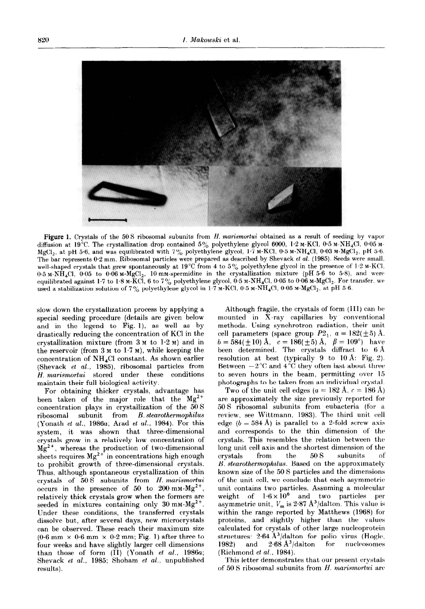

Figure 1. Crystals of the 50 S ribosomal subunits from H. marismortui obtained as a result of seeding by vapor diffusion at 19°C. The crystallization drop contained  $5\%$  polyethylene glycol 6000, 1.2 M-KCl, 0.5 M-NH<sub>4</sub>Cl, 0.05 M-MgCl,, at pH 5.6, and was equilibrated with 7% polyethylene glycol,  $1.7$  M-KCl, 0.5 M-NH<sub>4</sub>Cl, 0.03 M-MgCl<sub>2</sub>, pH 5.6. The bar represents 0.2 mm. Ribosomal particles were prepared as described by Shevack et al. (1985). Seeds were small. well-shaped crystals that grew spontaneously at 19°C from 4 to 5% polyethylene glycol in the presence of 1.2 M-KCI.  $0.5$  M-NH<sub>4</sub>Cl,  $0.05$  to  $0.06$  M-MgCl<sub>2</sub>, 10 mM-spermidine in the crystallization mixture (pH 5.6 to 5.8), and were equilibrated against 1.7 to 1.8 M-KCI, 6 to 7% polyethylene glycol,  $0.5$  M-NH<sub>4</sub>Cl, 0.05 to 0.06 M-MgCl<sub>2</sub>. For transfer, we used a stabilization solution of 7% polyethylene glycol in 1.7 M-KCl, 0.5 M-NH<sub>4</sub>Cl, 0.05 M-MgCl<sub>2</sub>, at pH 5.6.

slow down the crystallization process by applying a Although fragile, the crystals of form (III) can be special seeding procedure (details are given below mounted in X-ray capillaries by conventional special seeding procedure (details are given below and in the legend to Fig. I), as well as by methods. Using synchrotron radiation, their unit drastically reducing the concentration of KCl in the cell parameters (space group  $P2_1$ ,  $a = 182(\pm 5)$  Å.<br>crystallization mixture (from 3 M to 1.2 M) and in  $b = 584(\pm 10)$  Å,  $c = 186(\pm 5)$  Å,  $\beta = 109^{\circ}$ ) have<br>the rese crystallization mixture (from  $3 \text{ m}$  to  $1.2 \text{ m}$ ) and in the reservoir (from  $3 \text{ m}$  to  $1.7 \text{ m}$ ), while keeping the concentration of NH<sub>4</sub>Cl constant. As shown earlier resolution at best (typically 9 to 10 Å: Fig. 2).<br>(Shevack *et al.*, 1985), ribosomal particles from Between  $-2^{\circ}$ C and  $4^{\circ}$ C they often last about three (Shevack *et al.*, 1985), ribosomal particles from Between  $-2^{\circ}$ C and  $4^{\circ}$ C they often last about three *H. marismortui* stored under these conditions to seven hours in the beam, permitting over 15 H. marismortui stored under these conditions maintain their full biological activity. photographs to be taken from an individual crystal.

For obtaining thicker crystals, advantage has been taken of the major role that the  $Mg^{2+}$ concentration plays in crystallization of the 50 S ribosomal subunit from B. stearothermophilus (Yonath et al., 1986a; Arad et al., 1984). For this system, it was shown that three-dimensional crystals grow in a relatively low concentration of  $Mg^{2+}$ , whereas the production of two-dimension sheets requires  $Mg^{\lambda +}$  in concentrations high enough to prohibit growth of three-dimensional crystals. Thus, although spontaneous crystallization of thin crystals of  $50 S$  subunits from H. marismortui occurs in the presence of 50 to 200 mm- $Mg^{2+}$ , relatively thick crystals grow when the formers are seeded in mixtures containing only  $30 \text{ mm-Mg}^{2+}$ . Under these conditions, the transferred crystals dissolve but, after several days, new microcrystals can be observed. These reach their maximum size  $(0.6 \text{ mm} \times 0.6 \text{ mm} \times 0.2 \text{ mm}; \text{Fig. 1})$  after three to four weeks and have slightly larger cell dimensions than those of form  $(\overline{II})$  (Yonath et al., 1986a; Shevack et al., 1985; Shoham et al., unpublished results).

Two of the unit cell edges ( $a = 182$  Å,  $c = 186$  Å) are approximately the size previously reported for 50 S ribosomal subunits from eubacteria (for a review, see Wittmann, 1983). The third unit cell edge ( $b = 584$  Å) is parallel to a 2-fold screw axis and corresponds to the thin dimension of the crystals. This resembles the relation between the long unit cell axis and the shortest dimension of the crystals from the 50 6 subunits of B. stearothermophilus. Based on the approximately known size of the 50 S particles and the dimensions of the unit cell, we conclude that each asymmetric unit contains two particles. Assuming a molecular weight of  $1.6 \times 10^6$  and two particles per asymmetric unit,  $V_m$  is 2.87  $\text{A}^3\text{/dalton}$ . This value is within the range reported by Matthews (1968) for proteins, and slightly higher than the values calculated for crystals of other large nucleoprotein structures:  $2.64 \text{ Å}^3/\text{dalton}$  for polio virus (Hogle, 1982) and  $2.68 \text{ Å}^3/\text{dalton}$  for nucleosomes 1982) and  $2.68 \text{ Å}^3/\text{dalton}$  for (Richmond et al., 1984).

This letter demonstrates that our present crystals of 50 S ribosomal subunits from  $H$ . marismortui are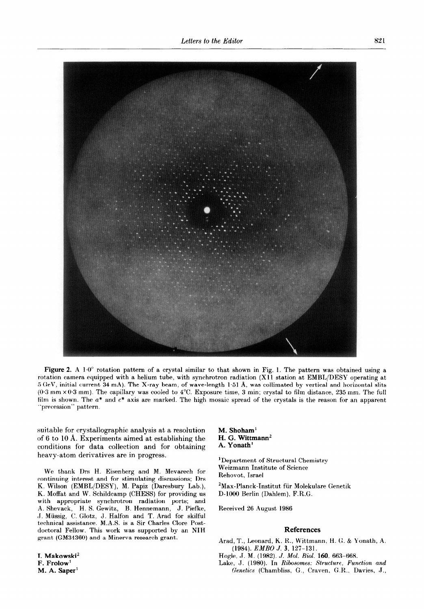

**igure 2.** A  $1.0^{\circ}$  rotation pattern of a crystal similar to that shown in Fig. 1. The pattern was obtained using a ition camera equipped with a helium tube, with synchrotron radiation (X11 station at  $\text{EMBL/DESY}$  operating at rV, initial current 34 mA). The X-ray beam, of wave-length 1.51 A, was collimated by vertical and horizontal slits mm  $\times0.3$  mm). The capillary was cooled to 4°C. Exposure time, 3 min; crystal to film distance, 235 mm. The full is shown. The  $a^*$  and  $c^*$  axis are marked. The high mosaic spread of the crystals is the reason for an apparent 'precession" pattern.

suitable for crystallographic analysis at a resolution of 6 to 10 A. Experiments aimed at establishing the conditions for data collection and for obtaining heavy-atom derivatives are in progress.

We thank Drs H. Eisenberg and M. Mevarech for continuing interest and for stimulating discussions; Drs K. Wilson (EMBL/DESY), M. Papiz (Daresbury Lab.), K. Moffat and W. Schildcamp (CHESS) for providing us with appropriate synchrotron radiation ports; and A. Shevack, H. S. Gewitz, B. Hennemann, J. Piefke, ,J. Miissig, C. Glotz, J. Halfon and T. Arad for skilful technical assistance. M.A.S. is a Sir Charles Clore Postdoctoral Fellow. This work was supported by an NTH

## M. Shoham' H. G. Wittmann<sup>2</sup> A. Yonath'

'Department of Structural Chemistry Weizmann Institute of Science Rehovot, Israel

'Max-Planck-Institut fiir Molekulare Genetik D-1006 Berlin (Dahlem), F.R.G.

Received 26 August 1986

## References

grant (GM34360) and a Minerva research grant. Arad, T., Leonard, K. R., Wittmann, H. G. & Yonath, A. (1984). EMBO J. 3, 127-131.

I. Makowski' Hogle, J. M. (1982). J. Mol. Riol. 160, 663-668.

Lake, J. (1980). In Ribosomes: Structure, Function and M. A. Saper<sup>1</sup> Genetics (Chambliss, G., Craven, G.R., Davies, J.,